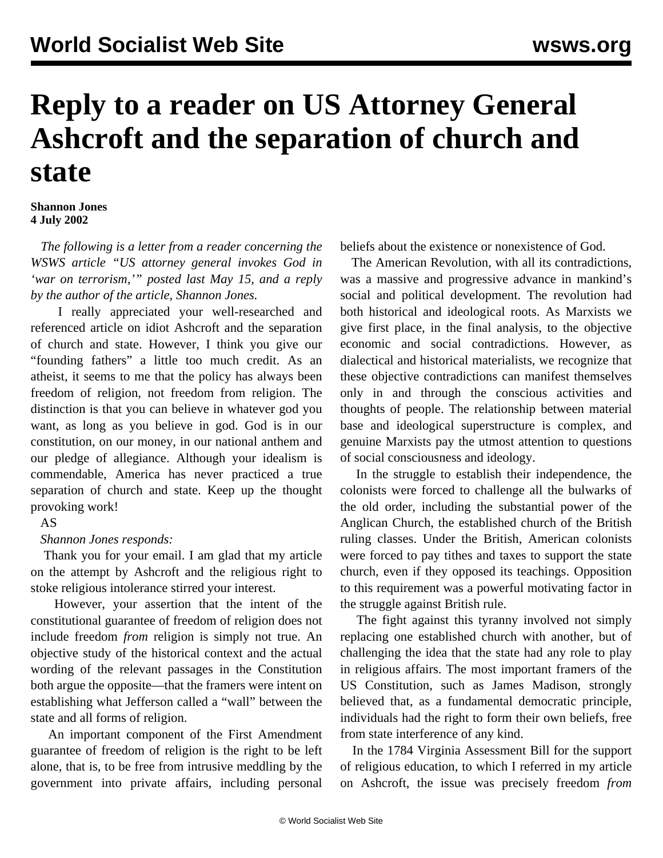# **Reply to a reader on US Attorney General Ashcroft and the separation of church and state**

#### **Shannon Jones 4 July 2002**

 *The following is a letter from a reader concerning the WSWS article "US attorney general invokes God in 'war on terrorism,'" posted last May 15, and a reply by the author of the article, Shannon Jones.*

 I really appreciated your well-researched and referenced article on idiot Ashcroft and the separation of church and state. However, I think you give our "founding fathers" a little too much credit. As an atheist, it seems to me that the policy has always been freedom of religion, not freedom from religion. The distinction is that you can believe in whatever god you want, as long as you believe in god. God is in our constitution, on our money, in our national anthem and our pledge of allegiance. Although your idealism is commendable, America has never practiced a true separation of church and state. Keep up the thought provoking work!

### AS

### *Shannon Jones responds:*

 Thank you for your email. I am glad that my article on the attempt by Ashcroft and the religious right to stoke religious intolerance stirred your interest.

 However, your assertion that the intent of the constitutional guarantee of freedom of religion does not include freedom *from* religion is simply not true. An objective study of the historical context and the actual wording of the relevant passages in the Constitution both argue the opposite—that the framers were intent on establishing what Jefferson called a "wall" between the state and all forms of religion.

 An important component of the First Amendment guarantee of freedom of religion is the right to be left alone, that is, to be free from intrusive meddling by the government into private affairs, including personal beliefs about the existence or nonexistence of God.

 The American Revolution, with all its contradictions, was a massive and progressive advance in mankind's social and political development. The revolution had both historical and ideological roots. As Marxists we give first place, in the final analysis, to the objective economic and social contradictions. However, as dialectical and historical materialists, we recognize that these objective contradictions can manifest themselves only in and through the conscious activities and thoughts of people. The relationship between material base and ideological superstructure is complex, and genuine Marxists pay the utmost attention to questions of social consciousness and ideology.

 In the struggle to establish their independence, the colonists were forced to challenge all the bulwarks of the old order, including the substantial power of the Anglican Church, the established church of the British ruling classes. Under the British, American colonists were forced to pay tithes and taxes to support the state church, even if they opposed its teachings. Opposition to this requirement was a powerful motivating factor in the struggle against British rule.

 The fight against this tyranny involved not simply replacing one established church with another, but of challenging the idea that the state had any role to play in religious affairs. The most important framers of the US Constitution, such as James Madison, strongly believed that, as a fundamental democratic principle, individuals had the right to form their own beliefs, free from state interference of any kind.

 In the 1784 Virginia Assessment Bill for the support of religious education, to which I referred in my article on Ashcroft, the issue was precisely freedom *from*